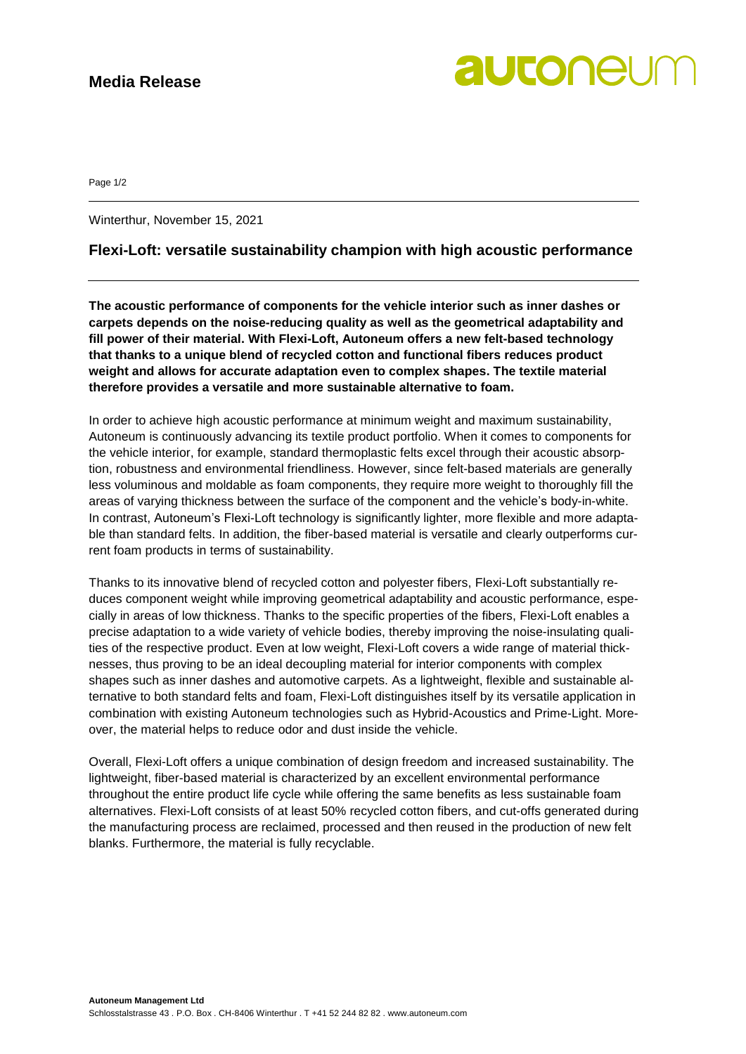## **Media Release**

# autonel

Page 1/2

Winterthur, November 15, 2021

### **Flexi-Loft: versatile sustainability champion with high acoustic performance**

**The acoustic performance of components for the vehicle interior such as inner dashes or carpets depends on the noise-reducing quality as well as the geometrical adaptability and fill power of their material. With Flexi-Loft, Autoneum offers a new felt-based technology that thanks to a unique blend of recycled cotton and functional fibers reduces product weight and allows for accurate adaptation even to complex shapes. The textile material therefore provides a versatile and more sustainable alternative to foam.**

In order to achieve high acoustic performance at minimum weight and maximum sustainability, Autoneum is continuously advancing its textile product portfolio. When it comes to components for the vehicle interior, for example, standard thermoplastic felts excel through their acoustic absorption, robustness and environmental friendliness. However, since felt-based materials are generally less voluminous and moldable as foam components, they require more weight to thoroughly fill the areas of varying thickness between the surface of the component and the vehicle's body-in-white. In contrast, Autoneum's Flexi-Loft technology is significantly lighter, more flexible and more adaptable than standard felts. In addition, the fiber-based material is versatile and clearly outperforms current foam products in terms of sustainability.

Thanks to its innovative blend of recycled cotton and polyester fibers, Flexi-Loft substantially reduces component weight while improving geometrical adaptability and acoustic performance, especially in areas of low thickness. Thanks to the specific properties of the fibers, Flexi-Loft enables a precise adaptation to a wide variety of vehicle bodies, thereby improving the noise-insulating qualities of the respective product. Even at low weight, Flexi-Loft covers a wide range of material thicknesses, thus proving to be an ideal decoupling material for interior components with complex shapes such as inner dashes and automotive carpets. As a lightweight, flexible and sustainable alternative to both standard felts and foam, Flexi-Loft distinguishes itself by its versatile application in combination with existing Autoneum technologies such as Hybrid-Acoustics and Prime-Light. Moreover, the material helps to reduce odor and dust inside the vehicle.

Overall, Flexi-Loft offers a unique combination of design freedom and increased sustainability. The lightweight, fiber-based material is characterized by an excellent environmental performance throughout the entire product life cycle while offering the same benefits as less sustainable foam alternatives. Flexi-Loft consists of at least 50% recycled cotton fibers, and cut-offs generated during the manufacturing process are reclaimed, processed and then reused in the production of new felt blanks. Furthermore, the material is fully recyclable.